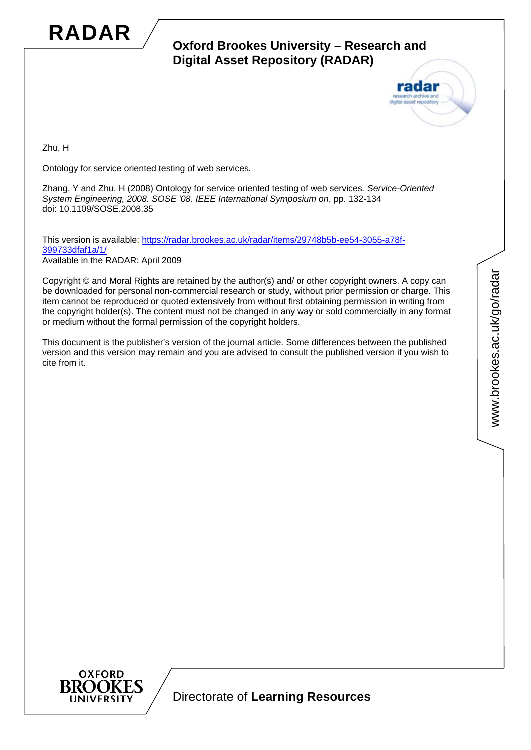

# **Oxford Brookes University – Research and Digital Asset Repository (RADAR)**



Zhu, H

Ontology for service oriented testing of web services*.* 

Zhang, Y and Zhu, H (2008) Ontology for service oriented testing of web services*. Service-Oriented System Engineering, 2008. SOSE '08. IEEE International Symposium on*, pp. 132-134 doi: 10.1109/SOSE.2008.35

This version is available: [https://radar.brookes.ac.uk/radar/items/29748b5b-ee54-3055-a78f-](https://radar.brookes.ac.uk/radar/items/29748b5b-ee54-3055-a78f-399733dfaf1a/1/)[399733dfaf1a/1/](https://radar.brookes.ac.uk/radar/items/29748b5b-ee54-3055-a78f-399733dfaf1a/1/) Available in the RADAR: April 2009

Copyright © and Moral Rights are retained by the author(s) and/ or other copyright owners. A copy can be downloaded for personal non-commercial research or study, without prior permission or charge. This item cannot be reproduced or quoted extensively from without first obtaining permission in writing from the copyright holder(s). The content must not be changed in any way or sold commercially in any format or medium without the formal permission of the copyright holders.

This document is the publisher's version of the journal article. Some differences between the published version and this version may remain and you are advised to consult the published version if you wish to cite from it.

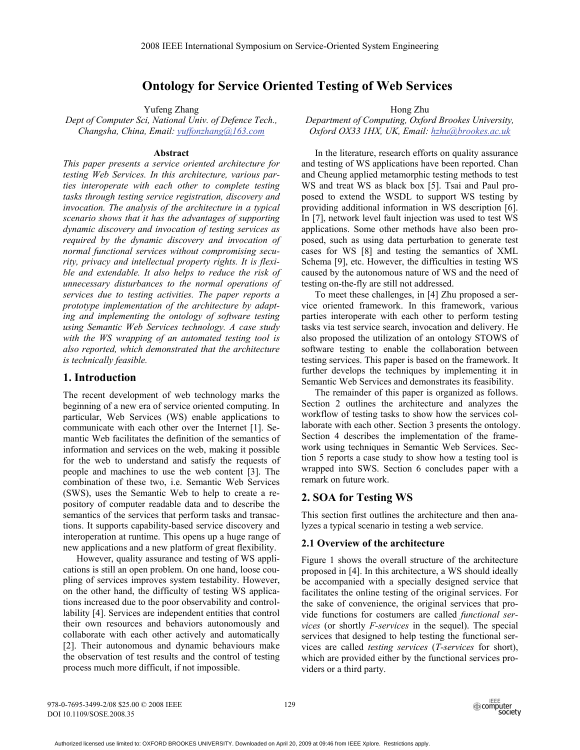## **Ontology for Service Oriented Testing of Web Services**

Yufeng Zhang

*Dept of Computer Sci, National Univ. of Defence Tech., Changsha, China, Email: yuffonzhang@163.com*

#### **Abstract**

*This paper presents a service oriented architecture for testing Web Services. In this architecture, various parties interoperate with each other to complete testing tasks through testing service registration, discovery and invocation. The analysis of the architecture in a typical scenario shows that it has the advantages of supporting dynamic discovery and invocation of testing services as required by the dynamic discovery and invocation of normal functional services without compromising security, privacy and intellectual property rights. It is flexible and extendable. It also helps to reduce the risk of unnecessary disturbances to the normal operations of services due to testing activities. The paper reports a prototype implementation of the architecture by adapting and implementing the ontology of software testing using Semantic Web Services technology. A case study with the WS wrapping of an automated testing tool is also reported, which demonstrated that the architecture is technically feasible.* 

## **1. Introduction**

The recent development of web technology marks the beginning of a new era of service oriented computing. In particular, Web Services (WS) enable applications to communicate with each other over the Internet [1]. Semantic Web facilitates the definition of the semantics of information and services on the web, making it possible for the web to understand and satisfy the requests of people and machines to use the web content [3]. The combination of these two, i.e. Semantic Web Services (SWS), uses the Semantic Web to help to create a repository of computer readable data and to describe the semantics of the services that perform tasks and transactions. It supports capability-based service discovery and interoperation at runtime. This opens up a huge range of new applications and a new platform of great flexibility.

However, quality assurance and testing of WS applications is still an open problem. On one hand, loose coupling of services improves system testability. However, on the other hand, the difficulty of testing WS applications increased due to the poor observability and controllability [4]. Services are independent entities that control their own resources and behaviors autonomously and collaborate with each other actively and automatically [2]. Their autonomous and dynamic behaviours make the observation of test results and the control of testing process much more difficult, if not impossible.

Hong Zhu

*Department of Computing, Oxford Brookes University, Oxford OX33 1HX, UK, Email: hzhu@brookes.ac.uk* 

In the literature, research efforts on quality assurance and testing of WS applications have been reported. Chan and Cheung applied metamorphic testing methods to test WS and treat WS as black box [5]. Tsai and Paul proposed to extend the WSDL to support WS testing by providing additional information in WS description [6]. In [7], network level fault injection was used to test WS applications. Some other methods have also been proposed, such as using data perturbation to generate test cases for WS [8] and testing the semantics of XML Schema [9], etc. However, the difficulties in testing WS caused by the autonomous nature of WS and the need of testing on-the-fly are still not addressed.

To meet these challenges, in [4] Zhu proposed a service oriented framework. In this framework, various parties interoperate with each other to perform testing tasks via test service search, invocation and delivery. He also proposed the utilization of an ontology STOWS of software testing to enable the collaboration between testing services. This paper is based on the framework. It further develops the techniques by implementing it in Semantic Web Services and demonstrates its feasibility.

The remainder of this paper is organized as follows. Section 2 outlines the architecture and analyzes the workflow of testing tasks to show how the services collaborate with each other. Section 3 presents the ontology. Section 4 describes the implementation of the framework using techniques in Semantic Web Services. Section 5 reports a case study to show how a testing tool is wrapped into SWS. Section 6 concludes paper with a remark on future work.

## **2. SOA for Testing WS**

This section first outlines the architecture and then analyzes a typical scenario in testing a web service.

## **2.1 Overview of the architecture**

Figure 1 shows the overall structure of the architecture proposed in [4]. In this architecture, a WS should ideally be accompanied with a specially designed service that facilitates the online testing of the original services. For the sake of convenience, the original services that provide functions for costumers are called *functional services* (or shortly *F-services* in the sequel). The special services that designed to help testing the functional services are called *testing services* (*T-services* for short), which are provided either by the functional services providers or a third party.

978-0-7695-3499-2/08 \$25.00 © 2008 IEEE DOI 10.1109/SOSE.2008.35

129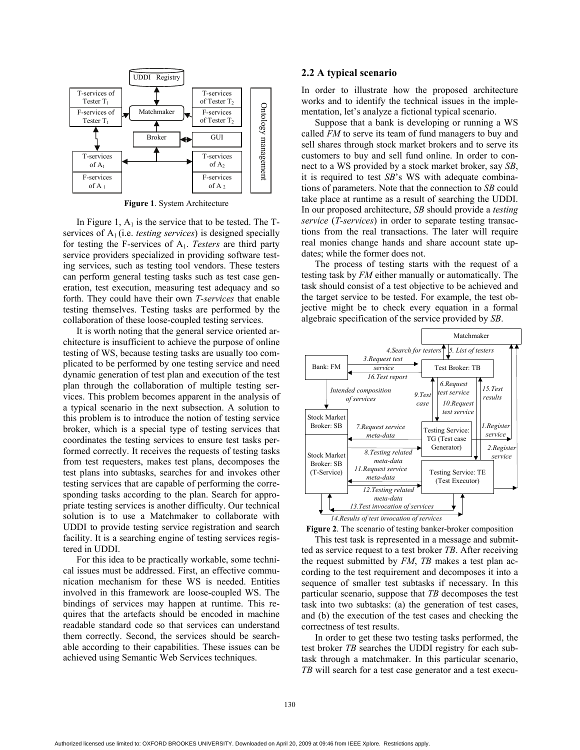

**Figure 1**. System Architecture

In Figure 1,  $A_1$  is the service that to be tested. The Tservices of A<sub>1</sub> (i.e. *testing services*) is designed specially for testing the F-services of A1. *Testers* are third party service providers specialized in providing software testing services, such as testing tool vendors. These testers can perform general testing tasks such as test case generation, test execution, measuring test adequacy and so forth. They could have their own *T-services* that enable testing themselves. Testing tasks are performed by the collaboration of these loose-coupled testing services.

It is worth noting that the general service oriented architecture is insufficient to achieve the purpose of online testing of WS, because testing tasks are usually too complicated to be performed by one testing service and need dynamic generation of test plan and execution of the test plan through the collaboration of multiple testing services. This problem becomes apparent in the analysis of a typical scenario in the next subsection. A solution to this problem is to introduce the notion of testing service broker, which is a special type of testing services that coordinates the testing services to ensure test tasks performed correctly. It receives the requests of testing tasks from test requesters, makes test plans, decomposes the test plans into subtasks, searches for and invokes other testing services that are capable of performing the corresponding tasks according to the plan. Search for appropriate testing services is another difficulty. Our technical solution is to use a Matchmaker to collaborate with UDDI to provide testing service registration and search facility. It is a searching engine of testing services registered in UDDI.

For this idea to be practically workable, some technical issues must be addressed. First, an effective communication mechanism for these WS is needed. Entities involved in this framework are loose-coupled WS. The bindings of services may happen at runtime. This requires that the artefacts should be encoded in machine readable standard code so that services can understand them correctly. Second, the services should be searchable according to their capabilities. These issues can be achieved using Semantic Web Services techniques.

#### **2.2 A typical scenario**

In order to illustrate how the proposed architecture works and to identify the technical issues in the implementation, let's analyze a fictional typical scenario.

Suppose that a bank is developing or running a WS called *FM* to serve its team of fund managers to buy and sell shares through stock market brokers and to serve its customers to buy and sell fund online. In order to connect to a WS provided by a stock market broker, say *SB*, it is required to test *SB*'s WS with adequate combinations of parameters. Note that the connection to *SB* could take place at runtime as a result of searching the UDDI. In our proposed architecture, *SB* should provide a *testing service* (*T-services*) in order to separate testing transactions from the real transactions. The later will require real monies change hands and share account state updates; while the former does not.

The process of testing starts with the request of a testing task by *FM* either manually or automatically. The task should consist of a test objective to be achieved and the target service to be tested. For example, the test objective might be to check every equation in a formal algebraic specification of the service provided by *SB*.





This test task is represented in a message and submitted as service request to a test broker *TB*. After receiving the request submitted by *FM*, *TB* makes a test plan according to the test requirement and decomposes it into a sequence of smaller test subtasks if necessary. In this particular scenario, suppose that *TB* decomposes the test task into two subtasks: (a) the generation of test cases, and (b) the execution of the test cases and checking the correctness of test results.

In order to get these two testing tasks performed, the test broker *TB* searches the UDDI registry for each subtask through a matchmaker. In this particular scenario, *TB* will search for a test case generator and a test execu-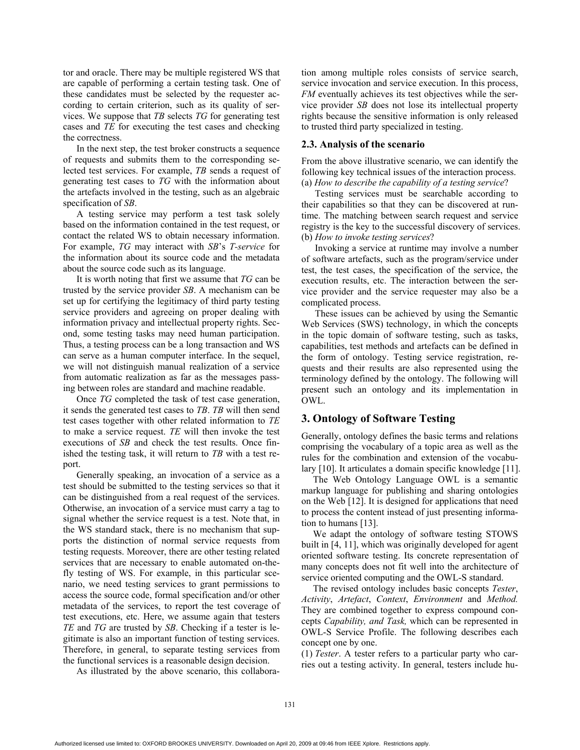tor and oracle. There may be multiple registered WS that are capable of performing a certain testing task. One of these candidates must be selected by the requester according to certain criterion, such as its quality of services. We suppose that *TB* selects *TG* for generating test cases and *TE* for executing the test cases and checking the correctness.

In the next step, the test broker constructs a sequence of requests and submits them to the corresponding selected test services. For example, *TB* sends a request of generating test cases to *TG* with the information about the artefacts involved in the testing, such as an algebraic specification of *SB*.

A testing service may perform a test task solely based on the information contained in the test request, or contact the related WS to obtain necessary information. For example, *TG* may interact with *SB*'s *T-service* for the information about its source code and the metadata about the source code such as its language.

It is worth noting that first we assume that *TG* can be trusted by the service provider *SB*. A mechanism can be set up for certifying the legitimacy of third party testing service providers and agreeing on proper dealing with information privacy and intellectual property rights. Second, some testing tasks may need human participation. Thus, a testing process can be a long transaction and WS can serve as a human computer interface. In the sequel, we will not distinguish manual realization of a service from automatic realization as far as the messages passing between roles are standard and machine readable.

Once *TG* completed the task of test case generation, it sends the generated test cases to *TB*. *TB* will then send test cases together with other related information to *TE* to make a service request. *TE* will then invoke the test executions of *SB* and check the test results. Once finished the testing task, it will return to *TB* with a test report.

Generally speaking, an invocation of a service as a test should be submitted to the testing services so that it can be distinguished from a real request of the services. Otherwise, an invocation of a service must carry a tag to signal whether the service request is a test. Note that, in the WS standard stack, there is no mechanism that supports the distinction of normal service requests from testing requests. Moreover, there are other testing related services that are necessary to enable automated on-thefly testing of WS. For example, in this particular scenario, we need testing services to grant permissions to access the source code, formal specification and/or other metadata of the services, to report the test coverage of test executions, etc. Here, we assume again that testers *TE* and *TG* are trusted by *SB*. Checking if a tester is legitimate is also an important function of testing services. Therefore, in general, to separate testing services from the functional services is a reasonable design decision.

As illustrated by the above scenario, this collabora-

tion among multiple roles consists of service search, service invocation and service execution. In this process, *FM* eventually achieves its test objectives while the service provider *SB* does not lose its intellectual property rights because the sensitive information is only released to trusted third party specialized in testing.

#### **2.3. Analysis of the scenario**

From the above illustrative scenario, we can identify the following key technical issues of the interaction process. (a) *How to describe the capability of a testing service*?

Testing services must be searchable according to their capabilities so that they can be discovered at runtime. The matching between search request and service registry is the key to the successful discovery of services. (b) *How to invoke testing services*?

Invoking a service at runtime may involve a number of software artefacts, such as the program/service under test, the test cases, the specification of the service, the execution results, etc. The interaction between the service provider and the service requester may also be a complicated process.

These issues can be achieved by using the Semantic Web Services (SWS) technology, in which the concepts in the topic domain of software testing, such as tasks, capabilities, test methods and artefacts can be defined in the form of ontology. Testing service registration, requests and their results are also represented using the terminology defined by the ontology. The following will present such an ontology and its implementation in OWL.

## **3. Ontology of Software Testing**

Generally, ontology defines the basic terms and relations comprising the vocabulary of a topic area as well as the rules for the combination and extension of the vocabulary [10]. It articulates a domain specific knowledge [11].

The Web Ontology Language OWL is a semantic markup language for publishing and sharing ontologies on the Web [12]. It is designed for applications that need to process the content instead of just presenting information to humans [13].

We adapt the ontology of software testing STOWS built in [4, 11], which was originally developed for agent oriented software testing. Its concrete representation of many concepts does not fit well into the architecture of service oriented computing and the OWL-S standard.

The revised ontology includes basic concepts *Tester*, *Activity*, *Artefact*, *Context*, *Environment* and *Method.*  They are combined together to express compound concepts *Capability, and Task,* which can be represented in OWL-S Service Profile. The following describes each concept one by one.

(1) *Tester*. A tester refers to a particular party who carries out a testing activity. In general, testers include hu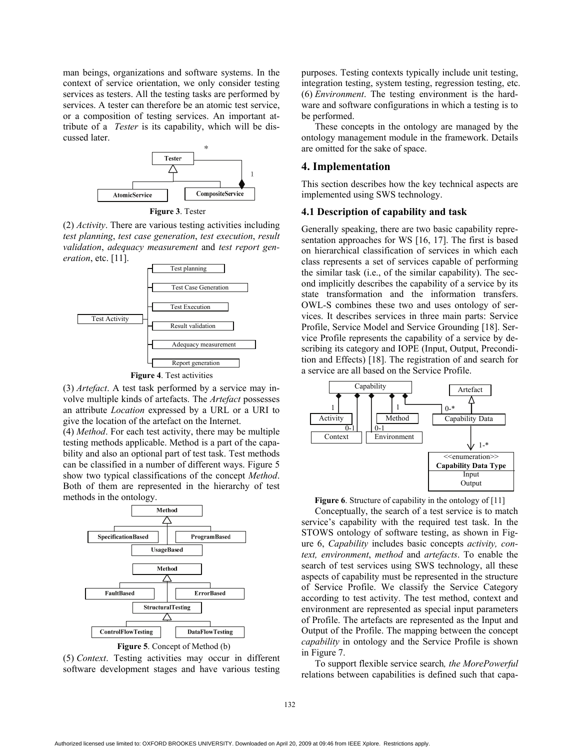man beings, organizations and software systems. In the context of service orientation, we only consider testing services as testers. All the testing tasks are performed by services. A tester can therefore be an atomic test service, or a composition of testing services. An important attribute of a *Tester* is its capability, which will be discussed later.



**Figure 3**. Tester

(2) *Activity*. There are various testing activities including *test planning*, *test case generation*, *test execution*, *result validation*, *adequacy measurement* and *test report generation*, etc. [11].



(3) *Artefact*. A test task performed by a service may involve multiple kinds of artefacts. The *Artefact* possesses an attribute *Location* expressed by a URL or a URI to give the location of the artefact on the Internet.

(4) *Method*. For each test activity, there may be multiple testing methods applicable. Method is a part of the capability and also an optional part of test task. Test methods can be classified in a number of different ways. Figure 5 show two typical classifications of the concept *Method*. Both of them are represented in the hierarchy of test methods in the ontology.





(5) *Context*. Testing activities may occur in different software development stages and have various testing

purposes. Testing contexts typically include unit testing, integration testing, system testing, regression testing, etc. (6) *Environment*. The testing environment is the hardware and software configurations in which a testing is to be performed.

These concepts in the ontology are managed by the ontology management module in the framework. Details are omitted for the sake of space.

## **4. Implementation**

This section describes how the key technical aspects are implemented using SWS technology.

#### **4.1 Description of capability and task**

Generally speaking, there are two basic capability representation approaches for WS [16, 17]. The first is based on hierarchical classification of services in which each class represents a set of services capable of performing the similar task (i.e., of the similar capability). The second implicitly describes the capability of a service by its state transformation and the information transfers. OWL-S combines these two and uses ontology of services. It describes services in three main parts: Service Profile, Service Model and Service Grounding [18]. Service Profile represents the capability of a service by describing its category and IOPE (Input, Output, Precondition and Effects) [18]. The registration of and search for a service are all based on the Service Profile.



Figure 6. Structure of capability in the ontology of [11]

Conceptually, the search of a test service is to match service's capability with the required test task. In the STOWS ontology of software testing, as shown in Figure 6, *Capability* includes basic concepts *activity, context, environment*, *method* and *artefacts*. To enable the search of test services using SWS technology, all these aspects of capability must be represented in the structure of Service Profile. We classify the Service Category according to test activity. The test method, context and environment are represented as special input parameters of Profile. The artefacts are represented as the Input and Output of the Profile. The mapping between the concept *capability* in ontology and the Service Profile is shown in Figure 7.

To support flexible service search*, the MorePowerful* relations between capabilities is defined such that capa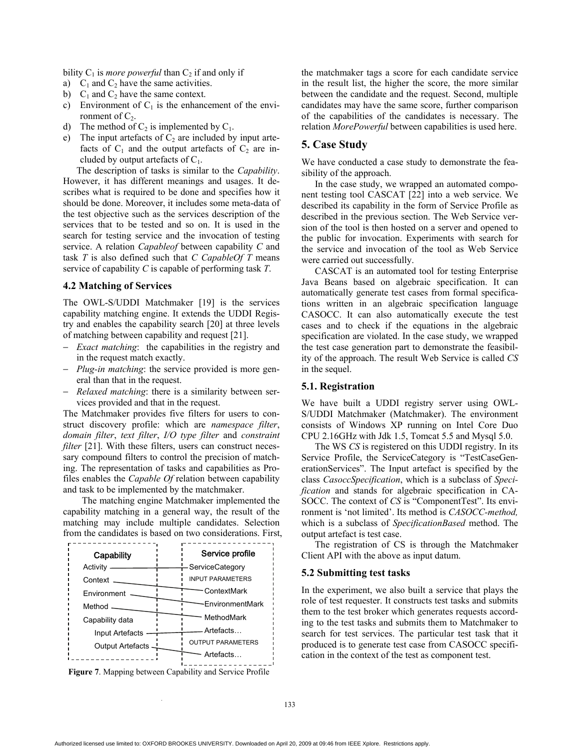bility  $C_1$  is *more powerful* than  $C_2$  if and only if

- a)  $C_1$  and  $C_2$  have the same activities.
- b)  $C_1$  and  $C_2$  have the same context.
- c) Environment of  $C_1$  is the enhancement of the environment of  $C_2$ .
- d) The method of  $C_2$  is implemented by  $C_1$ .
- e) The input artefacts of  $C_2$  are included by input artefacts of  $C_1$  and the output artefacts of  $C_2$  are included by output artefacts of  $C_1$ .

The description of tasks is similar to the *Capability*. However, it has different meanings and usages. It describes what is required to be done and specifies how it should be done. Moreover, it includes some meta-data of the test objective such as the services description of the services that to be tested and so on. It is used in the search for testing service and the invocation of testing service. A relation *Capableof* between capability *C* and task *T* is also defined such that *C CapableOf T* means service of capability *C* is capable of performing task *T*.

## **4.2 Matching of Services**

The OWL-S/UDDI Matchmaker [19] is the services capability matching engine. It extends the UDDI Registry and enables the capability search [20] at three levels of matching between capability and request [21].

- − *Exact matching*: the capabilities in the registry and in the request match exactly.
- *Plug-in matching*: the service provided is more general than that in the request.
- − *Relaxed matching*: there is a similarity between services provided and that in the request.

The Matchmaker provides five filters for users to construct discovery profile: which are *namespace filter*, *domain filter*, *text filter*, *I/O type filter* and *constraint filter* [21]. With these filters, users can construct necessary compound filters to control the precision of matching. The representation of tasks and capabilities as Profiles enables the *Capable Of* relation between capability and task to be implemented by the matchmaker.

The matching engine Matchmaker implemented the capability matching in a general way, the result of the matching may include multiple candidates. Selection from the candidates is based on two considerations. First,

| Capability         | Service profile          |
|--------------------|--------------------------|
| Activity —         | ServiceCategory          |
| Context            | <b>INPUT PARAMETERS</b>  |
| Fnvironment        | ContextMark              |
| Method -           | -EnvironmentMark         |
| Capability data    | MethodMark               |
| Input Artefacts    | — Artefacts              |
| Output Artefacts - | <b>OUTPUT PARAMETERS</b> |
|                    | Artefacts                |
|                    |                          |

**Figure 7**. Mapping between Capability and Service Profile

the matchmaker tags a score for each candidate service in the result list, the higher the score, the more similar between the candidate and the request. Second, multiple candidates may have the same score, further comparison of the capabilities of the candidates is necessary. The relation *MorePowerful* between capabilities is used here.

## **5. Case Study**

We have conducted a case study to demonstrate the feasibility of the approach.

In the case study, we wrapped an automated component testing tool CASCAT [22] into a web service. We described its capability in the form of Service Profile as described in the previous section. The Web Service version of the tool is then hosted on a server and opened to the public for invocation. Experiments with search for the service and invocation of the tool as Web Service were carried out successfully.

CASCAT is an automated tool for testing Enterprise Java Beans based on algebraic specification. It can automatically generate test cases from formal specifications written in an algebraic specification language CASOCC. It can also automatically execute the test cases and to check if the equations in the algebraic specification are violated. In the case study, we wrapped the test case generation part to demonstrate the feasibility of the approach. The result Web Service is called *CS* in the sequel.

#### **5.1. Registration**

We have built a UDDI registry server using OWL-S/UDDI Matchmaker (Matchmaker). The environment consists of Windows XP running on Intel Core Duo CPU 2.16GHz with Jdk 1.5, Tomcat 5.5 and Mysql 5.0.

The WS *CS* is registered on this UDDI registry. In its Service Profile, the ServiceCategory is "TestCaseGenerationServices". The Input artefact is specified by the class *CasoccSpecification*, which is a subclass of *Specification* and stands for algebraic specification in CA-SOCC. The context of *CS* is "ComponentTest". Its environment is 'not limited'. Its method is *CASOCC-method,*  which is a subclass of *SpecificationBased* method. The output artefact is test case.

The registration of CS is through the Matchmaker Client API with the above as input datum.

#### **5.2 Submitting test tasks**

In the experiment, we also built a service that plays the role of test requester. It constructs test tasks and submits them to the test broker which generates requests according to the test tasks and submits them to Matchmaker to search for test services. The particular test task that it produced is to generate test case from CASOCC specification in the context of the test as component test.